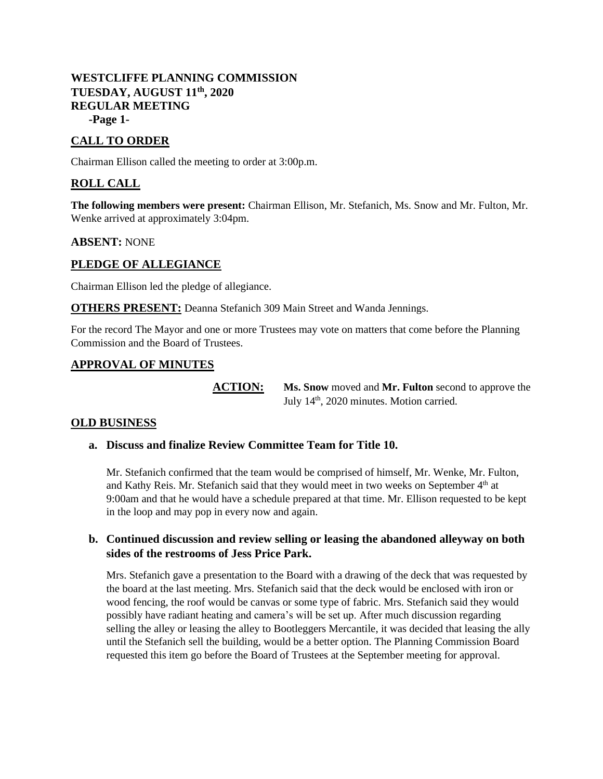## **WESTCLIFFE PLANNING COMMISSION TUESDAY, AUGUST 11th, 2020 REGULAR MEETING -Page 1-**

# **CALL TO ORDER**

Chairman Ellison called the meeting to order at 3:00p.m.

## **ROLL CALL**

**The following members were present:** Chairman Ellison, Mr. Stefanich, Ms. Snow and Mr. Fulton, Mr. Wenke arrived at approximately 3:04pm.

#### **ABSENT:** NONE

#### **PLEDGE OF ALLEGIANCE**

Chairman Ellison led the pledge of allegiance.

**OTHERS PRESENT:** Deanna Stefanich 309 Main Street and Wanda Jennings.

For the record The Mayor and one or more Trustees may vote on matters that come before the Planning Commission and the Board of Trustees.

### **APPROVAL OF MINUTES**

**ACTION: Ms. Snow** moved and **Mr. Fulton** second to approve the July 14<sup>th</sup>, 2020 minutes. Motion carried.

#### **OLD BUSINESS**

#### **a. Discuss and finalize Review Committee Team for Title 10.**

Mr. Stefanich confirmed that the team would be comprised of himself, Mr. Wenke, Mr. Fulton, and Kathy Reis. Mr. Stefanich said that they would meet in two weeks on September 4<sup>th</sup> at 9:00am and that he would have a schedule prepared at that time. Mr. Ellison requested to be kept in the loop and may pop in every now and again.

### **b. Continued discussion and review selling or leasing the abandoned alleyway on both sides of the restrooms of Jess Price Park.**

Mrs. Stefanich gave a presentation to the Board with a drawing of the deck that was requested by the board at the last meeting. Mrs. Stefanich said that the deck would be enclosed with iron or wood fencing, the roof would be canvas or some type of fabric. Mrs. Stefanich said they would possibly have radiant heating and camera's will be set up. After much discussion regarding selling the alley or leasing the alley to Bootleggers Mercantile, it was decided that leasing the ally until the Stefanich sell the building, would be a better option. The Planning Commission Board requested this item go before the Board of Trustees at the September meeting for approval.